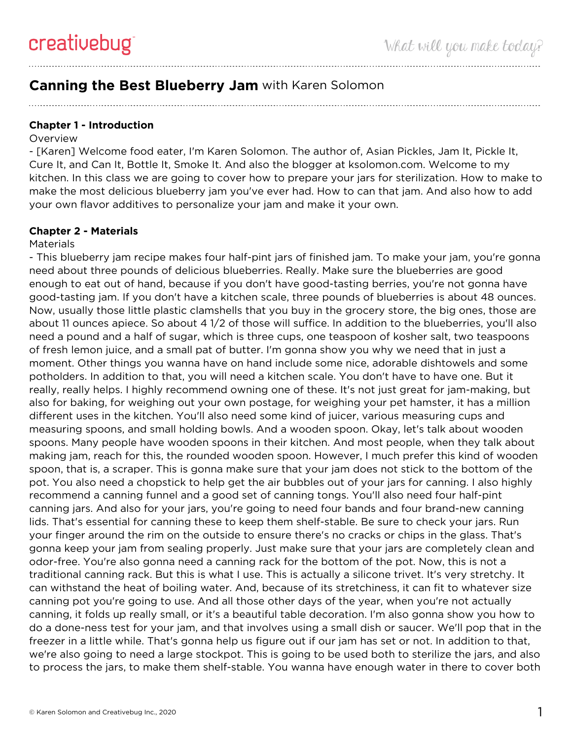# **Canning the Best Blueberry Jam** with Karen Solomon

### **Chapter 1 - Introduction**

#### **Overview**

- [Karen] Welcome food eater, I'm Karen Solomon. The author of, Asian Pickles, Jam It, Pickle It, Cure It, and Can It, Bottle It, Smoke It. And also the blogger at ksolomon.com. Welcome to my kitchen. In this class we are going to cover how to prepare your jars for sterilization. How to make to make the most delicious blueberry jam you've ever had. How to can that jam. And also how to add your own flavor additives to personalize your jam and make it your own.

#### **Chapter 2 - Materials**

#### **Materials**

- This blueberry jam recipe makes four half-pint jars of finished jam. To make your jam, you're gonna need about three pounds of delicious blueberries. Really. Make sure the blueberries are good enough to eat out of hand, because if you don't have good-tasting berries, you're not gonna have good-tasting jam. If you don't have a kitchen scale, three pounds of blueberries is about 48 ounces. Now, usually those little plastic clamshells that you buy in the grocery store, the big ones, those are about 11 ounces apiece. So about 4 1/2 of those will suffice. In addition to the blueberries, you'll also need a pound and a half of sugar, which is three cups, one teaspoon of kosher salt, two teaspoons of fresh lemon juice, and a small pat of butter. I'm gonna show you why we need that in just a moment. Other things you wanna have on hand include some nice, adorable dishtowels and some potholders. In addition to that, you will need a kitchen scale. You don't have to have one. But it really, really helps. I highly recommend owning one of these. It's not just great for jam-making, but also for baking, for weighing out your own postage, for weighing your pet hamster, it has a million different uses in the kitchen. You'll also need some kind of juicer, various measuring cups and measuring spoons, and small holding bowls. And a wooden spoon. Okay, let's talk about wooden spoons. Many people have wooden spoons in their kitchen. And most people, when they talk about making jam, reach for this, the rounded wooden spoon. However, I much prefer this kind of wooden spoon, that is, a scraper. This is gonna make sure that your jam does not stick to the bottom of the pot. You also need a chopstick to help get the air bubbles out of your jars for canning. I also highly recommend a canning funnel and a good set of canning tongs. You'll also need four half-pint canning jars. And also for your jars, you're going to need four bands and four brand-new canning lids. That's essential for canning these to keep them shelf-stable. Be sure to check your jars. Run your finger around the rim on the outside to ensure there's no cracks or chips in the glass. That's gonna keep your jam from sealing properly. Just make sure that your jars are completely clean and odor-free. You're also gonna need a canning rack for the bottom of the pot. Now, this is not a traditional canning rack. But this is what I use. This is actually a silicone trivet. It's very stretchy. It can withstand the heat of boiling water. And, because of its stretchiness, it can fit to whatever size canning pot you're going to use. And all those other days of the year, when you're not actually canning, it folds up really small, or it's a beautiful table decoration. I'm also gonna show you how to do a done-ness test for your jam, and that involves using a small dish or saucer. We'll pop that in the freezer in a little while. That's gonna help us figure out if our jam has set or not. In addition to that, we're also going to need a large stockpot. This is going to be used both to sterilize the jars, and also to process the jars, to make them shelf-stable. You wanna have enough water in there to cover both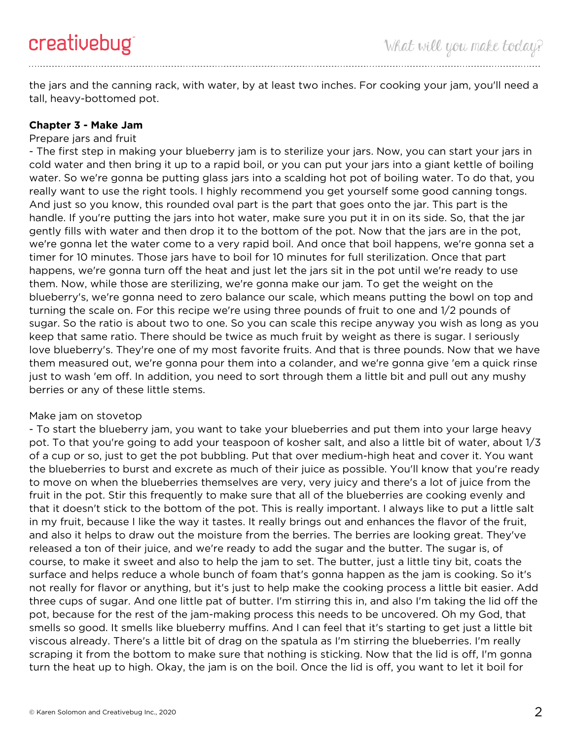the jars and the canning rack, with water, by at least two inches. For cooking your jam, you'll need a tall, heavy-bottomed pot.

## **Chapter 3 - Make Jam**

## Prepare jars and fruit

- The first step in making your blueberry jam is to sterilize your jars. Now, you can start your jars in cold water and then bring it up to a rapid boil, or you can put your jars into a giant kettle of boiling water. So we're gonna be putting glass jars into a scalding hot pot of boiling water. To do that, you really want to use the right tools. I highly recommend you get yourself some good canning tongs. And just so you know, this rounded oval part is the part that goes onto the jar. This part is the handle. If you're putting the jars into hot water, make sure you put it in on its side. So, that the jar gently fills with water and then drop it to the bottom of the pot. Now that the jars are in the pot, we're gonna let the water come to a very rapid boil. And once that boil happens, we're gonna set a timer for 10 minutes. Those jars have to boil for 10 minutes for full sterilization. Once that part happens, we're gonna turn off the heat and just let the jars sit in the pot until we're ready to use them. Now, while those are sterilizing, we're gonna make our jam. To get the weight on the blueberry's, we're gonna need to zero balance our scale, which means putting the bowl on top and turning the scale on. For this recipe we're using three pounds of fruit to one and 1/2 pounds of sugar. So the ratio is about two to one. So you can scale this recipe anyway you wish as long as you keep that same ratio. There should be twice as much fruit by weight as there is sugar. I seriously love blueberry's. They're one of my most favorite fruits. And that is three pounds. Now that we have them measured out, we're gonna pour them into a colander, and we're gonna give 'em a quick rinse just to wash 'em off. In addition, you need to sort through them a little bit and pull out any mushy berries or any of these little stems.

### Make jam on stovetop

- To start the blueberry jam, you want to take your blueberries and put them into your large heavy pot. To that you're going to add your teaspoon of kosher salt, and also a little bit of water, about 1/3 of a cup or so, just to get the pot bubbling. Put that over medium-high heat and cover it. You want the blueberries to burst and excrete as much of their juice as possible. You'll know that you're ready to move on when the blueberries themselves are very, very juicy and there's a lot of juice from the fruit in the pot. Stir this frequently to make sure that all of the blueberries are cooking evenly and that it doesn't stick to the bottom of the pot. This is really important. I always like to put a little salt in my fruit, because I like the way it tastes. It really brings out and enhances the flavor of the fruit, and also it helps to draw out the moisture from the berries. The berries are looking great. They've released a ton of their juice, and we're ready to add the sugar and the butter. The sugar is, of course, to make it sweet and also to help the jam to set. The butter, just a little tiny bit, coats the surface and helps reduce a whole bunch of foam that's gonna happen as the jam is cooking. So it's not really for flavor or anything, but it's just to help make the cooking process a little bit easier. Add three cups of sugar. And one little pat of butter. I'm stirring this in, and also I'm taking the lid off the pot, because for the rest of the jam-making process this needs to be uncovered. Oh my God, that smells so good. It smells like blueberry muffins. And I can feel that it's starting to get just a little bit viscous already. There's a little bit of drag on the spatula as I'm stirring the blueberries. I'm really scraping it from the bottom to make sure that nothing is sticking. Now that the lid is off, I'm gonna turn the heat up to high. Okay, the jam is on the boil. Once the lid is off, you want to let it boil for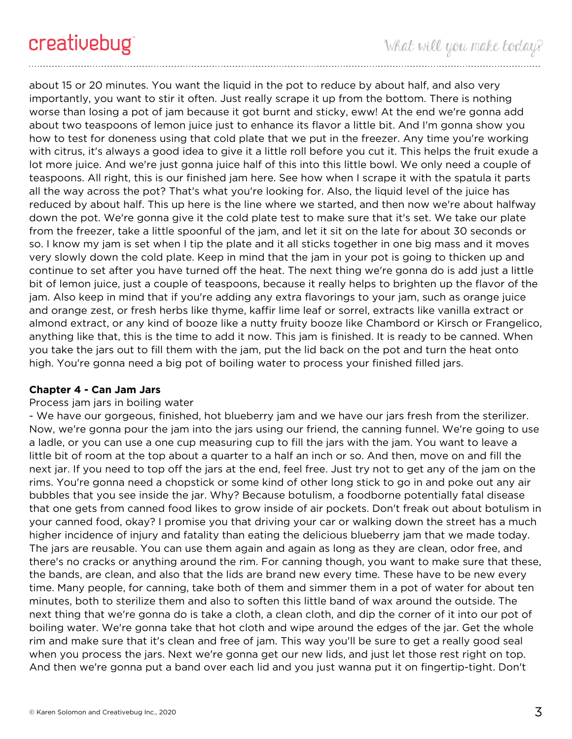about 15 or 20 minutes. You want the liquid in the pot to reduce by about half, and also very importantly, you want to stir it often. Just really scrape it up from the bottom. There is nothing worse than losing a pot of jam because it got burnt and sticky, eww! At the end we're gonna add about two teaspoons of lemon juice just to enhance its flavor a little bit. And I'm gonna show you how to test for doneness using that cold plate that we put in the freezer. Any time you're working with citrus, it's always a good idea to give it a little roll before you cut it. This helps the fruit exude a lot more juice. And we're just gonna juice half of this into this little bowl. We only need a couple of teaspoons. All right, this is our finished jam here. See how when I scrape it with the spatula it parts all the way across the pot? That's what you're looking for. Also, the liquid level of the juice has reduced by about half. This up here is the line where we started, and then now we're about halfway down the pot. We're gonna give it the cold plate test to make sure that it's set. We take our plate from the freezer, take a little spoonful of the jam, and let it sit on the late for about 30 seconds or so. I know my jam is set when I tip the plate and it all sticks together in one big mass and it moves very slowly down the cold plate. Keep in mind that the jam in your pot is going to thicken up and continue to set after you have turned off the heat. The next thing we're gonna do is add just a little bit of lemon juice, just a couple of teaspoons, because it really helps to brighten up the flavor of the jam. Also keep in mind that if you're adding any extra flavorings to your jam, such as orange juice and orange zest, or fresh herbs like thyme, kaffir lime leaf or sorrel, extracts like vanilla extract or almond extract, or any kind of booze like a nutty fruity booze like Chambord or Kirsch or Frangelico, anything like that, this is the time to add it now. This jam is finished. It is ready to be canned. When you take the jars out to fill them with the jam, put the lid back on the pot and turn the heat onto high. You're gonna need a big pot of boiling water to process your finished filled jars.

### **Chapter 4 - Can Jam Jars**

## Process jam jars in boiling water

- We have our gorgeous, finished, hot blueberry jam and we have our jars fresh from the sterilizer. Now, we're gonna pour the jam into the jars using our friend, the canning funnel. We're going to use a ladle, or you can use a one cup measuring cup to fill the jars with the jam. You want to leave a little bit of room at the top about a quarter to a half an inch or so. And then, move on and fill the next jar. If you need to top off the jars at the end, feel free. Just try not to get any of the jam on the rims. You're gonna need a chopstick or some kind of other long stick to go in and poke out any air bubbles that you see inside the jar. Why? Because botulism, a foodborne potentially fatal disease that one gets from canned food likes to grow inside of air pockets. Don't freak out about botulism in your canned food, okay? I promise you that driving your car or walking down the street has a much higher incidence of injury and fatality than eating the delicious blueberry jam that we made today. The jars are reusable. You can use them again and again as long as they are clean, odor free, and there's no cracks or anything around the rim. For canning though, you want to make sure that these, the bands, are clean, and also that the lids are brand new every time. These have to be new every time. Many people, for canning, take both of them and simmer them in a pot of water for about ten minutes, both to sterilize them and also to soften this little band of wax around the outside. The next thing that we're gonna do is take a cloth, a clean cloth, and dip the corner of it into our pot of boiling water. We're gonna take that hot cloth and wipe around the edges of the jar. Get the whole rim and make sure that it's clean and free of jam. This way you'll be sure to get a really good seal when you process the jars. Next we're gonna get our new lids, and just let those rest right on top. And then we're gonna put a band over each lid and you just wanna put it on fingertip-tight. Don't